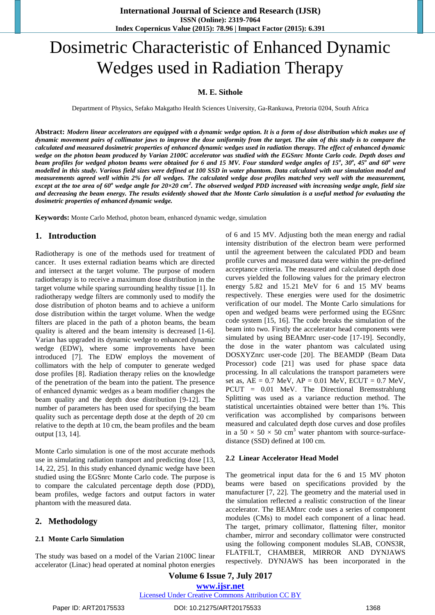# Dosimetric Characteristic of Enhanced Dynamic Wedges used in Radiation Therapy

# **M. E. Sithole**

Department of Physics, Sefako Makgatho Health Sciences University, Ga-Rankuwa, Pretoria 0204, South Africa

**Abstract:** *Modern linear accelerators are equipped with a dynamic wedge option. It is a form of dose distribution which makes use of dynamic movement pairs of collimator jaws to improve the dose uniformity from the target. The aim of this study is to compare the calculated and measured dosimetric properties of enhanced dynamic wedges used in radiation therapy. The effect of enhanced dynamic wedge on the photon beam produced by Varian 2100C accelerator was studied with the EGSnrc Monte Carlo code. Depth doses and beam profiles for wedged photon beams were obtained for 6 and 15 MV. Four standard wedge angles of 15<sup>o</sup> , 30<sup>o</sup> , 45<sup>o</sup> and 60<sup>o</sup> were modelled in this study. Various field sizes were defined at 100 SSD in water phantom. Data calculated with our simulation model and measurements agreed well within 2% for all wedges. The calculated wedge dose profiles matched very well with the measurement, except at the toe area of 60<sup>o</sup> wedge angle for 20×20 cm<sup>2</sup> . The observed wedged PDD increased with increasing wedge angle, field size and decreasing the beam energy. The results evidently showed that the Monte Carlo simulation is a useful method for evaluating the dosimetric properties of enhanced dynamic wedge.*

**Keywords:** Monte Carlo Method, photon beam, enhanced dynamic wedge, simulation

## **1. Introduction**

Radiotherapy is one of the methods used for treatment of cancer. It uses external radiation beams which are directed and intersect at the target volume. The purpose of modern radiotherapy is to receive a maximum dose distribution in the target volume while sparing surrounding healthy tissue [1]. In radiotherapy wedge filters are commonly used to modify the dose distribution of photon beams and to achieve a uniform dose distribution within the target volume. When the wedge filters are placed in the path of a photon beams, the beam quality is altered and the beam intensity is decreased [1-6]. Varian has upgraded its dynamic wedge to enhanced dynamic wedge (EDW), where some improvements have been introduced [7]. The EDW employs the movement of collimators with the help of computer to generate wedged dose profiles [8]. Radiation therapy relies on the knowledge of the penetration of the beam into the patient. The presence of enhanced dynamic wedges as a beam modifier changes the beam quality and the depth dose distribution [9-12]. The number of parameters has been used for specifying the beam quality such as percentage depth dose at the depth of 20 cm relative to the depth at 10 cm, the beam profiles and the beam output [13, 14].

Monte Carlo simulation is one of the most accurate methods use in simulating radiation transport and predicting dose [13, 14, 22, 25]. In this study enhanced dynamic wedge have been studied using the EGSnrc Monte Carlo code. The purpose is to compare the calculated percentage depth dose (PDD), beam profiles, wedge factors and output factors in water phantom with the measured data.

## **2. Methodology**

## **2.1 Monte Carlo Simulation**

The study was based on a model of the Varian 2100C linear accelerator (Linac) head operated at nominal photon energies of 6 and 15 MV. Adjusting both the mean energy and radial intensity distribution of the electron beam were performed until the agreement between the calculated PDD and beam profile curves and measured data were within the pre-defined acceptance criteria. The measured and calculated depth dose curves yielded the following values for the primary electron energy 5.82 and 15.21 MeV for 6 and 15 MV beams respectively. These energies were used for the dosimetric verification of our model. The Monte Carlo simulations for open and wedged beams were performed using the EGSnrc code system [15, 16]. The code breaks the simulation of the beam into two. Firstly the accelerator head components were simulated by using BEAMnrc user-code [17-19]. Secondly, the dose in the water phantom was calculated using DOSXYZnrc user-code [20]. The BEAMDP (Beam Data Processor) code [21] was used for phase space data processing. In all calculations the transport parameters were set as,  $AE = 0.7 \text{ MeV}$ ,  $AP = 0.01 \text{ MeV}$ ,  $ECUT = 0.7 \text{ MeV}$ , PCUT = 0.01 MeV. The Directional Bremsstrahlung Splitting was used as a variance reduction method. The statistical uncertainties obtained were better than 1%. This verification was accomplished by comparisons between measured and calculated depth dose curves and dose profiles in a  $50 \times 50 \times 50$  cm<sup>3</sup> water phantom with source-surfacedistance (SSD) defined at 100 cm.

#### **2.2 Linear Accelerator Head Model**

The geometrical input data for the 6 and 15 MV photon beams were based on specifications provided by the manufacturer [7, 22]. The geometry and the material used in the simulation reflected a realistic construction of the linear accelerator. The BEAMnrc code uses a series of component modules (CMs) to model each component of a linac head. The target, primary collimator, flattening filter, monitor chamber, mirror and secondary collimator were constructed using the following component modules SLAB, CONS3R, FLATFILT, CHAMBER, MIRROR AND DYNJAWS respectively. DYNJAWS has been incorporated in the

**Volume 6 Issue 7, July 2017**

**www.ijsr.net**

Licensed Under Creative Commons Attribution CC BY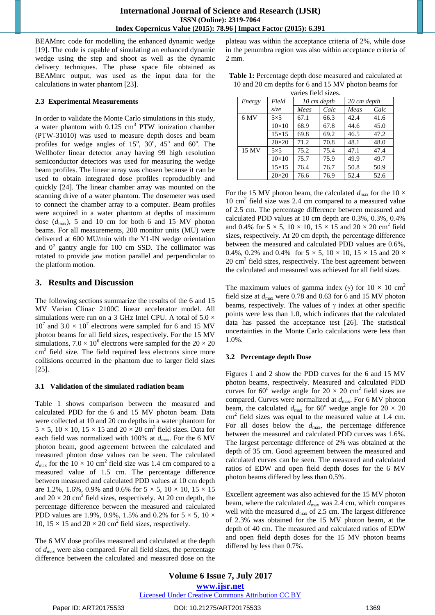BEAMnrc code for modelling the enhanced dynamic wedge [19]. The code is capable of simulating an enhanced dynamic wedge using the step and shoot as well as the dynamic delivery techniques. The phase space file obtained as BEAMnrc output, was used as the input data for the calculations in water phantom [23].

## **2.3 Experimental Measurements**

In order to validate the Monte Carlo simulations in this study, a water phantom with  $0.125 \text{ cm}^3$  PTW ionization chamber (PTW-31010) was used to measure depth doses and beam profiles for wedge angles of  $15^\circ$ ,  $30^\circ$ ,  $45^\circ$  and  $60^\circ$ . The Wellhofer linear detector array having 99 high resolution semiconductor detectors was used for measuring the wedge beam profiles. The linear array was chosen because it can be used to obtain integrated dose profiles reproducibly and quickly [24]. The linear chamber array was mounted on the scanning drive of a water phantom. The dosemeter was used to connect the chamber array to a computer. Beam profiles were acquired in a water phantom at depths of maximum dose  $(d_{\text{max}})$ , 5 and 10 cm for both 6 and 15 MV photon beams. For all measurements, 200 monitor units (MU) were delivered at 600 MU/min with the Y1-IN wedge orientation and 0° gantry angle for 100 cm SSD. The collimator was rotated to provide jaw motion parallel and perpendicular to the platform motion.

# **3. Results and Discussion**

The following sections summarize the results of the 6 and 15 MV Varian Clinac 2100C linear accelerator model. All simulations were run on a 3 GHz Intel CPU. A total of  $5.0 \times$  $10^7$  and  $3.0 \times 10^7$  electrons were sampled for 6 and 15 MV photon beams for all field sizes, respectively. For the 15 MV simulations,  $7.0 \times 10^6$  electrons were sampled for the  $20 \times 20$ cm<sup>2</sup> field size. The field required less electrons since more collisions occurred in the phantom due to larger field sizes [25].

## **3.1 Validation of the simulated radiation beam**

Table 1 shows comparison between the measured and calculated PDD for the 6 and 15 MV photon beam. Data were collected at 10 and 20 cm depths in a water phantom for  $5 \times 5$ ,  $10 \times 10$ ,  $15 \times 15$  and  $20 \times 20$  cm<sup>2</sup> field sizes. Data for each field was normalized with 100% at  $d_{\text{max}}$ . For the 6 MV photon beam, good agreement between the calculated and measured photon dose values can be seen. The calculated  $d_{\text{max}}$  for the  $10 \times 10 \text{ cm}^2$  field size was 1.4 cm compared to a measured value of 1.5 cm. The percentage difference between measured and calculated PDD values at 10 cm depth are 1.2%, 1.6%, 0.9% and 0.6% for  $5 \times 5$ ,  $10 \times 10$ ,  $15 \times 15$ and  $20 \times 20$  cm<sup>2</sup> field sizes, respectively. At 20 cm depth, the percentage difference between the measured and calculated PDD values are 1.9%, 0.9%, 1.5% and 0.2% for  $5 \times 5$ , 10  $\times$ 10,  $15 \times 15$  and  $20 \times 20$  cm<sup>2</sup> field sizes, respectively.

The 6 MV dose profiles measured and calculated at the depth of *d*max were also compared. For all field sizes, the percentage difference between the calculated and measured dose on the

plateau was within the acceptance criteria of 2%, while dose in the penumbra region was also within acceptance criteria of 2 mm.

| <b>Table 1:</b> Percentage depth dose measured and calculated at |
|------------------------------------------------------------------|
| 10 and 20 cm depths for 6 and 15 MV photon beams for             |
| varies field sizes.                                              |

| $\alpha$ and $\beta$ is the mass of $\alpha$ . |              |             |      |             |      |  |  |
|------------------------------------------------|--------------|-------------|------|-------------|------|--|--|
| Energy                                         | Field        | 10 cm depth |      | 20 cm depth |      |  |  |
|                                                | size         | Meas        | Calc | Meas        | Calc |  |  |
| 6 MV                                           | $5\times5$   | 67.1        | 66.3 | 42.4        | 41.6 |  |  |
|                                                | $10\times10$ | 68.9        | 67.8 | 44.6        | 45.0 |  |  |
|                                                | $15\times15$ | 69.8        | 69.2 | 46.5        | 47.2 |  |  |
|                                                | $20\times20$ | 71.2        | 70.8 | 48.1        | 48.0 |  |  |
| 15 MV                                          | $5\times5$   | 75.2        | 75.4 | 47.1        | 47.4 |  |  |
|                                                | $10\times10$ | 75.7        | 75.9 | 49.9        | 49.7 |  |  |
|                                                | $15\times15$ | 76.4        | 76.7 | 50.8        | 50.9 |  |  |
|                                                | $20\times20$ | 76.6        | 76.9 | 52.4        | 52.6 |  |  |

For the 15 MV photon beam, the calculated  $d_{\text{max}}$  for the 10  $\times$ 10 cm<sup>2</sup> field size was 2.4 cm compared to a measured value of 2.5 cm. The percentage difference between measured and calculated PDD values at 10 cm depth are 0.3%, 0.3%, 0.4% and 0.4% for  $5 \times 5$ ,  $10 \times 10$ ,  $15 \times 15$  and  $20 \times 20$  cm<sup>2</sup> field sizes, respectively. At 20 cm depth, the percentage difference between the measured and calculated PDD values are 0.6%, 0.4%, 0.2% and 0.4% for  $5 \times 5$ ,  $10 \times 10$ ,  $15 \times 15$  and  $20 \times$ 20 cm<sup>2</sup> field sizes, respectively. The best agreement between the calculated and measured was achieved for all field sizes.

The maximum values of gamma index ( $\gamma$ ) for 10  $\times$  10 cm<sup>2</sup> field size at  $d_{\text{max}}$  were 0.78 and 0.63 for 6 and 15 MV photon beams, respectively. The values of  $\gamma$  index at other specific points were less than 1.0, which indicates that the calculated data has passed the acceptance test [26]. The statistical uncertainties in the Monte Carlo calculations were less than 1.0%.

# **3.2 Percentage depth Dose**

Figures 1 and 2 show the PDD curves for the 6 and 15 MV photon beams, respectively. Measured and calculated PDD curves for 60 $^{\circ}$  wedge angle for 20  $\times$  20 cm<sup>2</sup> field sizes are compared. Curves were normalized at  $d_{\text{max}}$ . For 6 MV photon beam, the calculated  $d_{\text{max}}$  for 60° wedge angle for 20  $\times$  20  $\text{cm}^2$  field sizes was equal to the measured value at 1.4 cm. For all doses below the  $d_{\text{max}}$ , the percentage difference between the measured and calculated PDD curves was 1.6%. The largest percentage difference of 2% was obtained at the depth of 35 cm. Good agreement between the measured and calculated curves can be seen. The measured and calculated ratios of EDW and open field depth doses for the 6 MV photon beams differed by less than 0.5%.

Excellent agreement was also achieved for the 15 MV photon beam, where the calculated  $d_{\text{max}}$  was 2.4 cm, which compares well with the measured  $d_{\text{max}}$  of 2.5 cm. The largest difference of 2.3% was obtained for the 15 MV photon beam, at the depth of 40 cm. The measured and calculated ratios of EDW and open field depth doses for the 15 MV photon beams differed by less than 0.7%.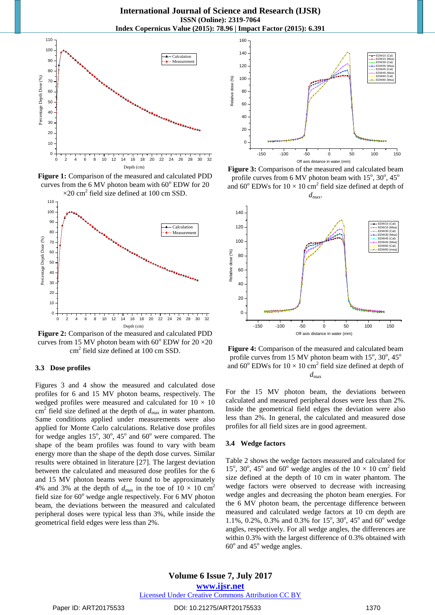

**Figure 1:** Comparison of the measured and calculated PDD curves from the 6 MV photon beam with  $60^{\circ}$  EDW for 20  $\times$ 20 cm<sup>2</sup> field size defined at 100 cm SSD.



**Figure 2:** Comparison of the measured and calculated PDD curves from 15 MV photon beam with  $60^{\circ}$  EDW for  $20 \times 20$ cm<sup>2</sup> field size defined at 100 cm SSD.

#### **3.3 Dose profiles**

Figures 3 and 4 show the measured and calculated dose profiles for 6 and 15 MV photon beams, respectively. The wedged profiles were measured and calculated for  $10 \times 10$  $\text{cm}^2$  field size defined at the depth of  $d_{\text{max}}$  in water phantom. Same conditions applied under measurements were also applied for Monte Carlo calculations. Relative dose profiles for wedge angles  $15^\circ$ ,  $30^\circ$ ,  $45^\circ$  and  $60^\circ$  were compared. The shape of the beam profiles was found to vary with beam energy more than the shape of the depth dose curves. Similar results were obtained in literature [27]. The largest deviation between the calculated and measured dose profiles for the 6 and 15 MV photon beams were found to be approximately 4% and 3% at the depth of  $d_{\text{max}}$  in the toe of 10  $\times$  10 cm<sup>2</sup> field size for  $60^{\circ}$  wedge angle respectively. For 6 MV photon beam, the deviations between the measured and calculated peripheral doses were typical less than 3%, while inside the geometrical field edges were less than 2%.







**Figure 4:** Comparison of the measured and calculated beam profile curves from 15 MV photon beam with  $15^\circ$ ,  $30^\circ$ ,  $45^\circ$ and  $60^{\circ}$  EDWs for  $10 \times 10$  cm<sup>2</sup> field size defined at depth of *d*max

For the 15 MV photon beam, the deviations between calculated and measured peripheral doses were less than 2%. Inside the geometrical field edges the deviation were also less than 2%. In general, the calculated and measured dose profiles for all field sizes are in good agreement.

### **3.4 Wedge factors**

Table 2 shows the wedge factors measured and calculated for 15°, 30°, 45° and 60° wedge angles of the  $10 \times 10$  cm<sup>2</sup> field size defined at the depth of 10 cm in water phantom. The wedge factors were observed to decrease with increasing wedge angles and decreasing the photon beam energies. For the 6 MV photon beam, the percentage difference between measured and calculated wedge factors at 10 cm depth are 1.1%, 0.2%, 0.3% and 0.3% for 15°, 30°, 45° and 60° wedge angles, respectively. For all wedge angles, the differences are within 0.3% with the largest difference of 0.3% obtained with  $60^\circ$  and  $45^\circ$  wedge angles.

**Volume 6 Issue 7, July 2017 www.ijsr.net** Licensed Under Creative Commons Attribution CC BY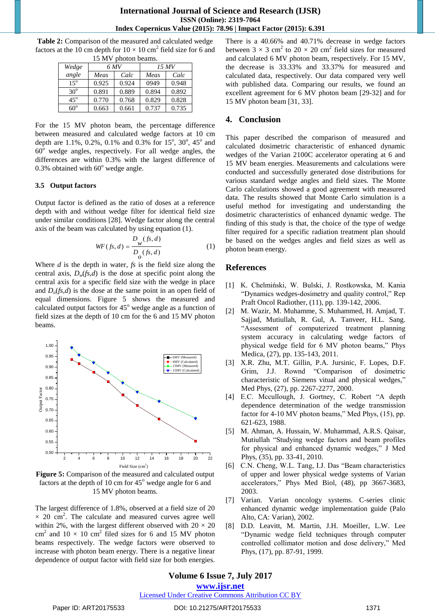**Table 2:** Comparison of the measured and calculated wedge factors at the 10 cm depth for  $10 \times 10$  cm<sup>2</sup> field size for 6 and 15 MV photon beams.

| 1. <i>.)</i> IVI V<br>рнойн осаніз. |       |       |       |       |  |  |  |  |
|-------------------------------------|-------|-------|-------|-------|--|--|--|--|
| Wedge                               | 6 MV  |       | 15 MV |       |  |  |  |  |
| angle                               | Meas  | Calc  | Meas  | Calc  |  |  |  |  |
| $15^{\circ}$                        | 0.925 | 0.924 | 0949  | 0.948 |  |  |  |  |
| $30^\circ$                          | 0.891 | 0.889 | 0.894 | 0.892 |  |  |  |  |
| $45^\circ$                          | 0.770 | 0.768 | 0.829 | 0.828 |  |  |  |  |
| $60^\circ$                          | 0.663 | 0.661 | 0.737 | 0.735 |  |  |  |  |

For the 15 MV photon beam, the percentage difference between measured and calculated wedge factors at 10 cm depth are 1.1%, 0.2%, 0.1% and 0.3% for 15°, 30°, 45° and  $60^{\circ}$  wedge angles, respectively. For all wedge angles, the differences are within 0.3% with the largest difference of 0.3% obtained with  $60^{\circ}$  wedge angle.

## **3.5 Output factors**

Output factor is defined as the ratio of doses at a reference depth with and without wedge filter for identical field size under similar conditions [28]. Wedge factor along the central axis of the beam was calculated by using equation (1).

$$
WF(fs, d) = \frac{D_w(fs, d)}{D_o(fs, d)}
$$
 (1)

Where *d* is the depth in water, *fs* is the field size along the central axis,  $D_w(f_s,d)$  is the dose at specific point along the central axis for a specific field size with the wedge in place and  $D_0$ (*fs*,*d*) is the dose at the same point in an open field of equal dimensions. Figure 5 shows the measured and calculated output factors for  $45^\circ$  wedge angle as a function of field sizes at the depth of 10 cm for the 6 and 15 MV photon beams.



**Figure 5:** Comparison of the measured and calculated output factors at the depth of 10 cm for  $45^{\circ}$  wedge angle for 6 and 15 MV photon beams.

The largest difference of 1.8%, observed at a field size of 20  $\times$  20 cm<sup>2</sup>. The calculate and measured curves agree well within 2%, with the largest different observed with  $20 \times 20$ cm<sup>2</sup> and  $10 \times 10$  cm<sup>2</sup> filed sizes for 6 and 15 MV photon beams respectively. The wedge factors were observed to increase with photon beam energy. There is a negative linear dependence of output factor with field size for both energies.

There is a 40.66% and 40.71% decrease in wedge factors between  $3 \times 3$  cm<sup>2</sup> to  $20 \times 20$  cm<sup>2</sup> field sizes for measured and calculated 6 MV photon beam, respectively. For 15 MV, the decrease is 33.33% and 33.37% for measured and calculated data, respectively. Our data compared very well with published data. Comparing our results, we found an excellent agreement for 6 MV photon beam [29-32] and for 15 MV photon beam [31, 33].

# **4. Conclusion**

This paper described the comparison of measured and calculated dosimetric characteristic of enhanced dynamic wedges of the Varian 2100C accelerator operating at 6 and 15 MV beam energies. Measurements and calculations were conducted and successfully generated dose distributions for various standard wedge angles and field sizes. The Monte Carlo calculations showed a good agreement with measured data. The results showed that Monte Carlo simulation is a useful method for investigating and understanding the dosimetric characteristics of enhanced dynamic wedge. The finding of this study is that, the choice of the type of wedge filter required for a specific radiation treatment plan should be based on the wedges angles and field sizes as well as photon beam energy.

# **References**

- [1] K. Chelmiński, W. Bulski, J. Rostkowska, M. Kania "Dynamics wedges-dosimetry and quality control," Rep Praft Oncol Radiother, (11), pp. 139-142, 2006.
- [2] M. Wazir, M. Muhamme, S. Muhammed, H. Amjad, T. Sajjad, Mutiullah, R. Gul, A. Tanveer, H.L. Sang. "Assessment of computerized treatment planning system accuracy in calculating wedge factors of physical wedge field for 6 MV photon beams," Phys Medica, (27), pp. 135-143, 2011.
- [3] X.R. Zhu, M.T. Gillin, P.A. Jursinic, F. Lopes, D.F. Grim, J.J. Rownd "Comparison of dosimetric characteristic of Siemens vitual and physical wedges," Med Phys, (27), pp. 2267-2277, 2000.
- [4] E.C. Mccullough, J. Gortney, C. Robert "A depth dependence determination of the wedge transmission factor for 4-10 MV photon beams," Med Phys, (15), pp. 621-623, 1988.
- [5] M. Ahman, A. Hussain, W. Muhammad, A.R.S. Qaisar, Mutiullah "Studying wedge factors and beam profiles for physical and enhanced dynamic wedges," J Med Phys, (35), pp. 33-41, 2010.
- [6] C.N. Cheng, W.L. Tang, I.J. Das "Beam characteristics of upper and lower physical wedge systems of Varian accelerators," Phys Med Biol, (48), pp 3667-3683, 2003.
- [7] Varian. Varian oncology systems. C-series clinic enhanced dynamic wedge implementation guide (Palo Alto, CA: Varian), 2002.
- [8] D.D. Leavitt, M. Martin, J.H. Moeiller, L.W. Lee "Dynamic wedge field techniques through computer controlled collimator motion and dose delivery," Med Phys, (17), pp. 87-91, 1999.

# **Volume 6 Issue 7, July 2017**

**www.ijsr.net**

Licensed Under Creative Commons Attribution CC BY